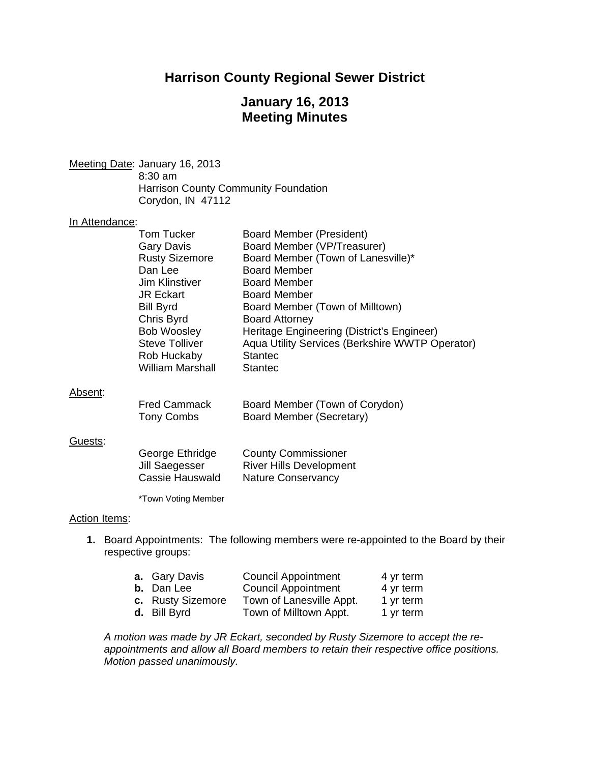## **Harrison County Regional Sewer District**

## **January 16, 2013 Meeting Minutes**

Meeting Date: January 16, 2013 8:30 am Harrison County Community Foundation Corydon, IN 47112

#### In Attendance:

| <b>Board Member (President)</b>                 |
|-------------------------------------------------|
| Board Member (VP/Treasurer)                     |
| Board Member (Town of Lanesville)*              |
| <b>Board Member</b>                             |
| <b>Board Member</b>                             |
| <b>Board Member</b>                             |
| Board Member (Town of Milltown)                 |
| <b>Board Attorney</b>                           |
| Heritage Engineering (District's Engineer)      |
| Aqua Utility Services (Berkshire WWTP Operator) |
| <b>Stantec</b>                                  |
| <b>Stantec</b>                                  |
|                                                 |

#### Absent:

| <b>Fred Cammack</b> | Board Member (Town of Corydon) |
|---------------------|--------------------------------|
| Tony Combs          | Board Member (Secretary)       |

#### Guests:

| George Ethridge | <b>County Commissioner</b>     |
|-----------------|--------------------------------|
| Jill Saegesser  | <b>River Hills Development</b> |
| Cassie Hauswald | Nature Conservancy             |

\*Town Voting Member

#### Action Items:

**1.** Board Appointments: The following members were re-appointed to the Board by their respective groups:

| a. Gary Davis     | <b>Council Appointment</b> | 4 yr term |
|-------------------|----------------------------|-----------|
| <b>b.</b> Dan Lee | <b>Council Appointment</b> | 4 yr term |
| c. Rusty Sizemore | Town of Lanesville Appt.   | 1 yr term |
| d. Bill Byrd      | Town of Milltown Appt.     | 1 yr term |
|                   |                            |           |

*A motion was made by JR Eckart, seconded by Rusty Sizemore to accept the reappointments and allow all Board members to retain their respective office positions. Motion passed unanimously.*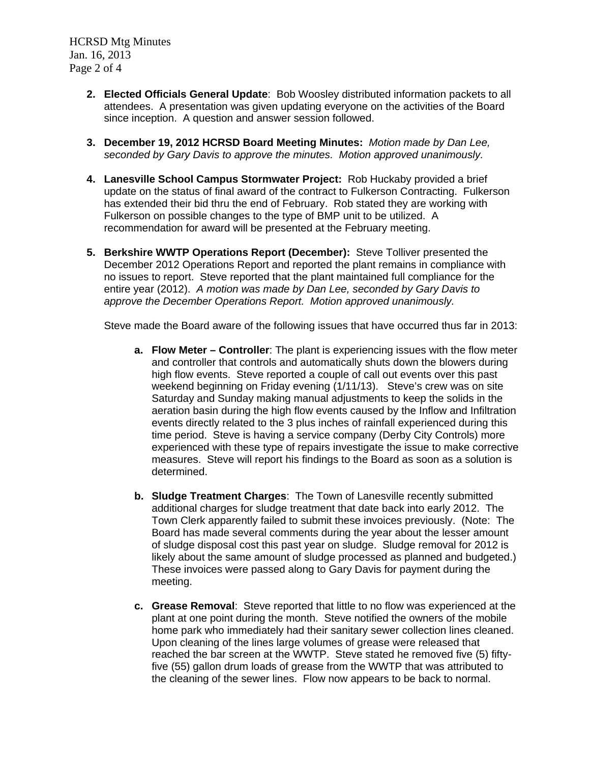HCRSD Mtg Minutes Jan. 16, 2013 Page 2 of 4

- **2. Elected Officials General Update**: Bob Woosley distributed information packets to all attendees. A presentation was given updating everyone on the activities of the Board since inception. A question and answer session followed.
- **3. December 19, 2012 HCRSD Board Meeting Minutes:** *Motion made by Dan Lee, seconded by Gary Davis to approve the minutes. Motion approved unanimously.*
- **4. Lanesville School Campus Stormwater Project:** Rob Huckaby provided a brief update on the status of final award of the contract to Fulkerson Contracting. Fulkerson has extended their bid thru the end of February. Rob stated they are working with Fulkerson on possible changes to the type of BMP unit to be utilized. A recommendation for award will be presented at the February meeting.
- **5. Berkshire WWTP Operations Report (December):** Steve Tolliver presented the December 2012 Operations Report and reported the plant remains in compliance with no issues to report. Steve reported that the plant maintained full compliance for the entire year (2012). *A motion was made by Dan Lee, seconded by Gary Davis to approve the December Operations Report. Motion approved unanimously.*

Steve made the Board aware of the following issues that have occurred thus far in 2013:

- **a. Flow Meter Controller**: The plant is experiencing issues with the flow meter and controller that controls and automatically shuts down the blowers during high flow events. Steve reported a couple of call out events over this past weekend beginning on Friday evening (1/11/13). Steve's crew was on site Saturday and Sunday making manual adjustments to keep the solids in the aeration basin during the high flow events caused by the Inflow and Infiltration events directly related to the 3 plus inches of rainfall experienced during this time period. Steve is having a service company (Derby City Controls) more experienced with these type of repairs investigate the issue to make corrective measures. Steve will report his findings to the Board as soon as a solution is determined.
- **b. Sludge Treatment Charges**: The Town of Lanesville recently submitted additional charges for sludge treatment that date back into early 2012. The Town Clerk apparently failed to submit these invoices previously. (Note: The Board has made several comments during the year about the lesser amount of sludge disposal cost this past year on sludge. Sludge removal for 2012 is likely about the same amount of sludge processed as planned and budgeted.) These invoices were passed along to Gary Davis for payment during the meeting.
- **c. Grease Removal**: Steve reported that little to no flow was experienced at the plant at one point during the month. Steve notified the owners of the mobile home park who immediately had their sanitary sewer collection lines cleaned. Upon cleaning of the lines large volumes of grease were released that reached the bar screen at the WWTP. Steve stated he removed five (5) fiftyfive (55) gallon drum loads of grease from the WWTP that was attributed to the cleaning of the sewer lines. Flow now appears to be back to normal.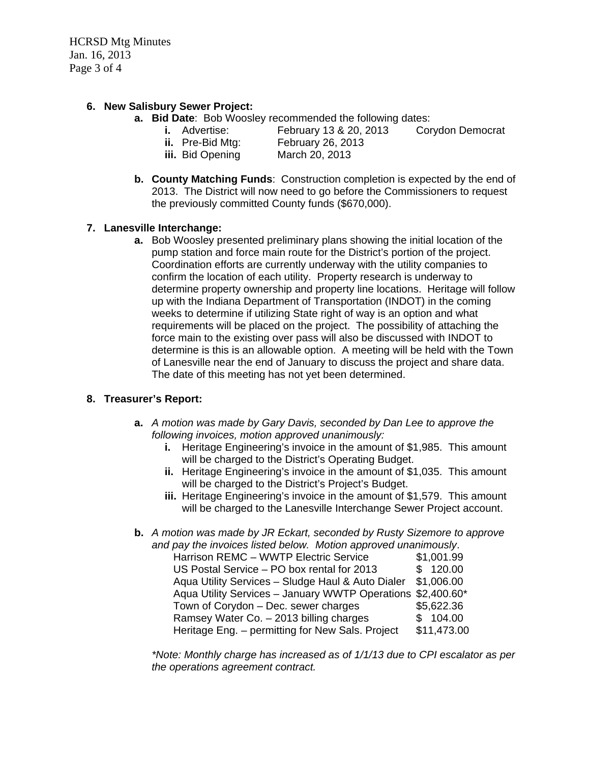HCRSD Mtg Minutes Jan. 16, 2013 Page 3 of 4

## **6. New Salisbury Sewer Project:**

- **a. Bid Date**: Bob Woosley recommended the following dates:
	-
- 

**i.** Advertise: February 13 & 20, 2013 Corydon Democrat

- **ii.** Pre-Bid Mtg: February 26, 2013
- **iii.** Bid Opening March 20, 2013
	-
- **b. County Matching Funds**: Construction completion is expected by the end of 2013. The District will now need to go before the Commissioners to request the previously committed County funds (\$670,000).

### **7. Lanesville Interchange:**

**a.** Bob Woosley presented preliminary plans showing the initial location of the pump station and force main route for the District's portion of the project. Coordination efforts are currently underway with the utility companies to confirm the location of each utility. Property research is underway to determine property ownership and property line locations. Heritage will follow up with the Indiana Department of Transportation (INDOT) in the coming weeks to determine if utilizing State right of way is an option and what requirements will be placed on the project. The possibility of attaching the force main to the existing over pass will also be discussed with INDOT to determine is this is an allowable option. A meeting will be held with the Town of Lanesville near the end of January to discuss the project and share data. The date of this meeting has not yet been determined.

### **8. Treasurer's Report:**

- **a.** *A motion was made by Gary Davis, seconded by Dan Lee to approve the following invoices, motion approved unanimously:* 
	- **i.** Heritage Engineering's invoice in the amount of \$1,985. This amount will be charged to the District's Operating Budget.
	- **ii.** Heritage Engineering's invoice in the amount of \$1,035. This amount will be charged to the District's Project's Budget.
	- **iii.** Heritage Engineering's invoice in the amount of \$1,579. This amount will be charged to the Lanesville Interchange Sewer Project account.
- **b.** *A motion was made by JR Eckart, seconded by Rusty Sizemore to approve and pay the invoices listed below. Motion approved unanimously*.

| Harrison REMC - WWTP Electric Service                       | \$1,001.99  |
|-------------------------------------------------------------|-------------|
|                                                             |             |
| US Postal Service - PO box rental for 2013                  | \$120.00    |
| Aqua Utility Services - Sludge Haul & Auto Dialer           | \$1,006.00  |
| Aqua Utility Services - January WWTP Operations \$2,400.60* |             |
| Town of Corydon - Dec. sewer charges                        | \$5,622.36  |
| Ramsey Water Co. - 2013 billing charges                     | \$104.00    |
| Heritage Eng. - permitting for New Sals. Project            | \$11,473.00 |

*\*Note: Monthly charge has increased as of 1/1/13 due to CPI escalator as per the operations agreement contract.*